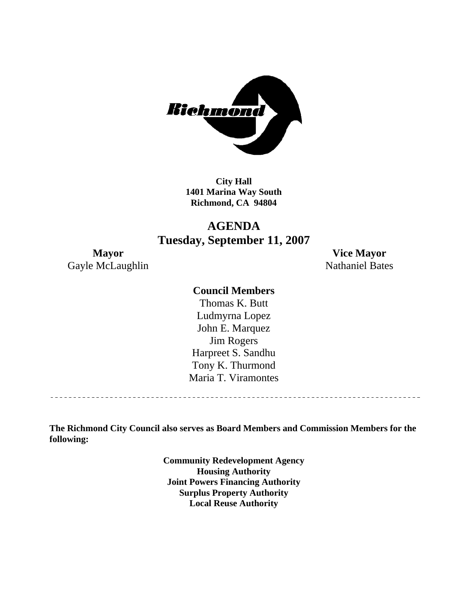

**City Hall 1401 Marina Way South Richmond, CA 94804** 

## **AGENDA Tuesday, September 11, 2007**

Gayle McLaughlin Nathaniel Bates

**Mayor Vice Mayor** 

## **Council Members**

Harpreet S. Sandhu Tony K. Thurmond Maria T. Viramontes Thomas K. Butt Ludmyrna Lopez John E. Marquez Jim Rogers

**The Richmond City Council also serves as Board Members and Commission Members for the following:** 

> **Community Redevelopment Agency Housing Authority Joint Powers Financing Authority Surplus Property Authority Local Reuse Authority**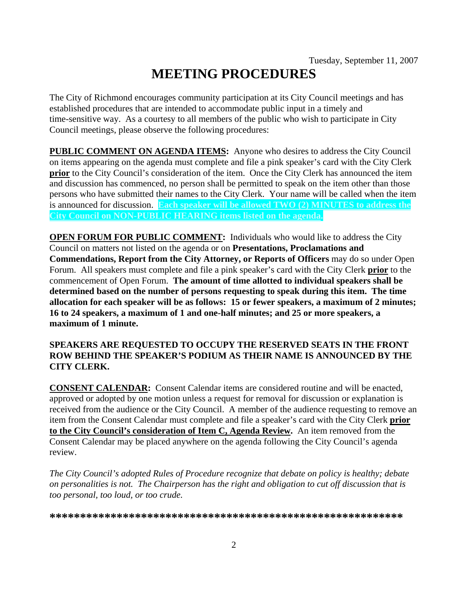# **MEETING PROCEDURES**

The City of Richmond encourages community participation at its City Council meetings and has established procedures that are intended to accommodate public input in a timely and time-sensitive way. As a courtesy to all members of the public who wish to participate in City Council meetings, please observe the following procedures:

**PUBLIC COMMENT ON AGENDA ITEMS:** Anyone who desires to address the City Council on items appearing on the agenda must complete and file a pink speaker's card with the City Clerk **prior** to the City Council's consideration of the item. Once the City Clerk has announced the item and discussion has commenced, no person shall be permitted to speak on the item other than those persons who have submitted their names to the City Clerk. Your name will be called when the item is announced for discussion. **Each speaker will be allowed TWO (2) MINUTES to address the City Council on NON-PUBLIC HEARING items listed on the agenda.** 

**OPEN FORUM FOR PUBLIC COMMENT:** Individuals who would like to address the City Council on matters not listed on the agenda or on **Presentations, Proclamations and Commendations, Report from the City Attorney, or Reports of Officers** may do so under Open Forum. All speakers must complete and file a pink speaker's card with the City Clerk **prior** to the commencement of Open Forum. **The amount of time allotted to individual speakers shall be determined based on the number of persons requesting to speak during this item. The time allocation for each speaker will be as follows: 15 or fewer speakers, a maximum of 2 minutes; 16 to 24 speakers, a maximum of 1 and one-half minutes; and 25 or more speakers, a maximum of 1 minute.** 

#### **SPEAKERS ARE REQUESTED TO OCCUPY THE RESERVED SEATS IN THE FRONT ROW BEHIND THE SPEAKER'S PODIUM AS THEIR NAME IS ANNOUNCED BY THE CITY CLERK.**

**CONSENT CALENDAR:** Consent Calendar items are considered routine and will be enacted, approved or adopted by one motion unless a request for removal for discussion or explanation is received from the audience or the City Council. A member of the audience requesting to remove an item from the Consent Calendar must complete and file a speaker's card with the City Clerk **prior to the City Council's consideration of Item C, Agenda Review.** An item removed from the Consent Calendar may be placed anywhere on the agenda following the City Council's agenda review.

*The City Council's adopted Rules of Procedure recognize that debate on policy is healthy; debate on personalities is not. The Chairperson has the right and obligation to cut off discussion that is too personal, too loud, or too crude.* 

**\*\*\*\*\*\*\*\*\*\*\*\*\*\*\*\*\*\*\*\*\*\*\*\*\*\*\*\*\*\*\*\*\*\*\*\*\*\*\*\*\*\*\*\*\*\*\*\*\*\*\*\*\*\*\*\*\*\***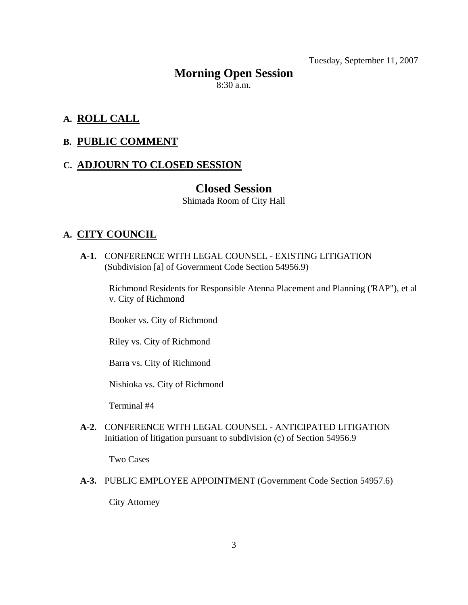Tuesday, September 11, 2007

## **Morning Open Session**

 $8:30$  a.m.

## **A. ROLL CALL**

## **B. PUBLIC COMMENT**

## **C. ADJOURN TO CLOSED SESSION**

## **Closed Session**

Shimada Room of City Hall

## **A. CITY COUNCIL**

 **A-1.** CONFERENCE WITH LEGAL COUNSEL - EXISTING LITIGATION (Subdivision [a] of Government Code Section 54956.9)

Richmond Residents for Responsible Atenna Placement and Planning ('RAP"), et al v. City of Richmond

Booker vs. City of Richmond

Riley vs. City of Richmond

Barra vs. City of Richmond

Nishioka vs. City of Richmond

Terminal #4

 **A-2.** CONFERENCE WITH LEGAL COUNSEL - ANTICIPATED LITIGATION Initiation of litigation pursuant to subdivision (c) of Section 54956.9

Two Cases

 **A-3.** PUBLIC EMPLOYEE APPOINTMENT (Government Code Section 54957.6)

City Attorney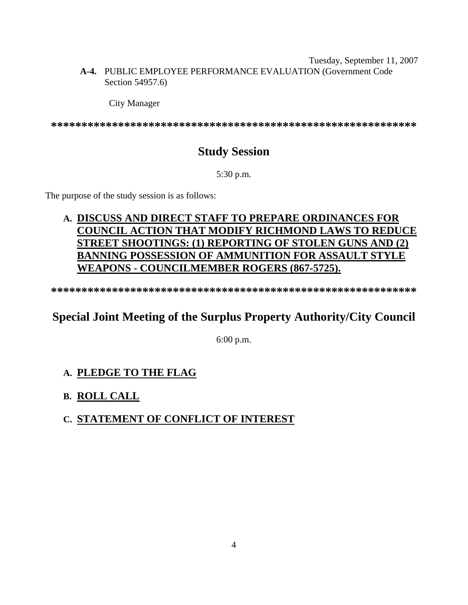#### Tuesday, September 11, 2007  **A-4.** PUBLIC EMPLOYEE PERFORMANCE EVALUATION (Government Code Section 54957.6)

#### City Manager

**\*\*\*\*\*\*\*\*\*\*\*\*\*\*\*\*\*\*\*\*\*\*\*\*\*\*\*\*\*\*\*\*\*\*\*\*\*\*\*\*\*\*\*\*\*\*\*\*\*\*\*\*\*\*\*\*\*\*\*\*** 

## **Study Session**

5:30 p.m.

The purpose of the study session is as follows:

## **A. DISCUSS AND DIRECT STAFF TO PREPARE ORDINANCES FOR COUNCIL ACTION THAT MODIFY RICHMOND LAWS TO REDUCE STREET SHOOTINGS: (1) REPORTING OF STOLEN GUNS AND (2) BANNING POSSESSION OF AMMUNITION FOR ASSAULT STYLE WEAPONS - COUNCILMEMBER ROGERS (867-5725).**

**\*\*\*\*\*\*\*\*\*\*\*\*\*\*\*\*\*\*\*\*\*\*\*\*\*\*\*\*\*\*\*\*\*\*\*\*\*\*\*\*\*\*\*\*\*\*\*\*\*\*\*\*\*\*\*\*\*\*\*\*** 

## **Special Joint Meeting of the Surplus Property Authority/City Council**

6:00 p.m.

## **A. PLEDGE TO THE FLAG**

## **B. ROLL CALL**

## **C. STATEMENT OF CONFLICT OF INTEREST**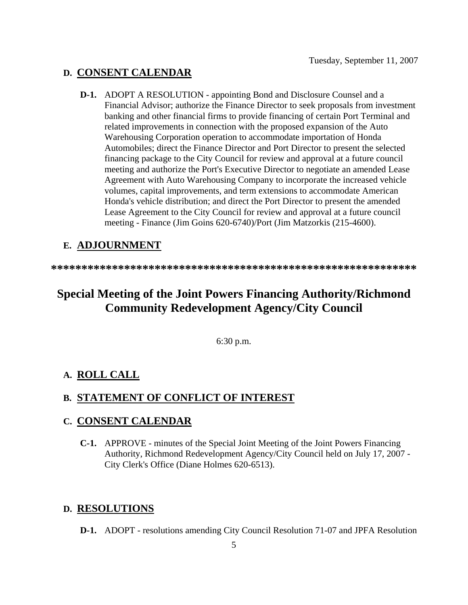## **D. CONSENT CALENDAR**

 **D-1.** ADOPT A RESOLUTION - appointing Bond and Disclosure Counsel and a Financial Advisor; authorize the Finance Director to seek proposals from investment banking and other financial firms to provide financing of certain Port Terminal and related improvements in connection with the proposed expansion of the Auto Warehousing Corporation operation to accommodate importation of Honda Automobiles; direct the Finance Director and Port Director to present the selected financing package to the City Council for review and approval at a future council meeting and authorize the Port's Executive Director to negotiate an amended Lease Agreement with Auto Warehousing Company to incorporate the increased vehicle volumes, capital improvements, and term extensions to accommodate American Honda's vehicle distribution; and direct the Port Director to present the amended Lease Agreement to the City Council for review and approval at a future council meeting - Finance (Jim Goins 620-6740)/Port (Jim Matzorkis (215-4600).

## **E. ADJOURNMENT**

**\*\*\*\*\*\*\*\*\*\*\*\*\*\*\*\*\*\*\*\*\*\*\*\*\*\*\*\*\*\*\*\*\*\*\*\*\*\*\*\*\*\*\*\*\*\*\*\*\*\*\*\*\*\*\*\*\*\*\*\*** 

## **Special Meeting of the Joint Powers Financing Authority/Richmond Community Redevelopment Agency/City Council**

6:30 p.m.

## **A. ROLL CALL**

## **B. STATEMENT OF CONFLICT OF INTEREST**

## **C. CONSENT CALENDAR**

 **C-1.** APPROVE - minutes of the Special Joint Meeting of the Joint Powers Financing Authority, Richmond Redevelopment Agency/City Council held on July 17, 2007 - City Clerk's Office (Diane Holmes 620-6513).

## **D. RESOLUTIONS**

 **D-1.** ADOPT - resolutions amending City Council Resolution 71-07 and JPFA Resolution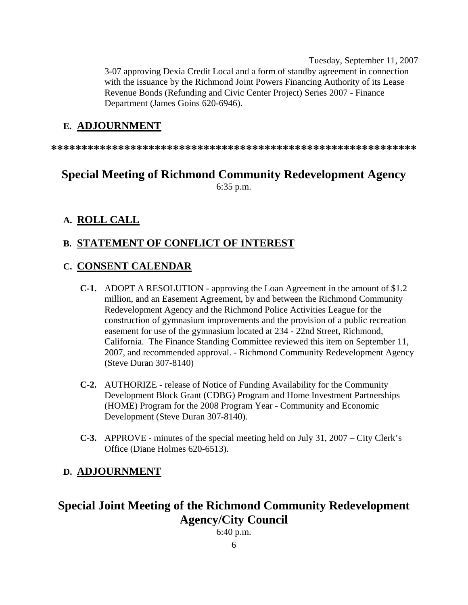Tuesday, September 11, 2007 3-07 approving Dexia Credit Local and a form of standby agreement in connection with the issuance by the Richmond Joint Powers Financing Authority of its Lease Revenue Bonds (Refunding and Civic Center Project) Series 2007 - Finance Department (James Goins 620-6946).

## **E. ADJOURNMENT**

**\*\*\*\*\*\*\*\*\*\*\*\*\*\*\*\*\*\*\*\*\*\*\*\*\*\*\*\*\*\*\*\*\*\*\*\*\*\*\*\*\*\*\*\*\*\*\*\*\*\*\*\*\*\*\*\*\*\*\*\*** 

## **Special Meeting of Richmond Community Redevelopment Agency**  6:35 p.m.

#### **A. ROLL CALL**

## **B. STATEMENT OF CONFLICT OF INTEREST**

#### **C. CONSENT CALENDAR**

- **C-1.** ADOPT A RESOLUTION approving the Loan Agreement in the amount of \$1.2 million, and an Easement Agreement, by and between the Richmond Community Redevelopment Agency and the Richmond Police Activities League for the construction of gymnasium improvements and the provision of a public recreation easement for use of the gymnasium located at 234 - 22nd Street, Richmond, California. The Finance Standing Committee reviewed this item on September 11, 2007, and recommended approval. - Richmond Community Redevelopment Agency (Steve Duran 307-8140)
- **C-2.** AUTHORIZE release of Notice of Funding Availability for the Community Development Block Grant (CDBG) Program and Home Investment Partnerships (HOME) Program for the 2008 Program Year - Community and Economic Development (Steve Duran 307-8140).
- **C-3.** APPROVE minutes of the special meeting held on July 31, 2007 City Clerk's Office (Diane Holmes 620-6513).

#### **D. ADJOURNMENT**

## **Special Joint Meeting of the Richmond Community Redevelopment Agency/City Council**

6:40 p.m.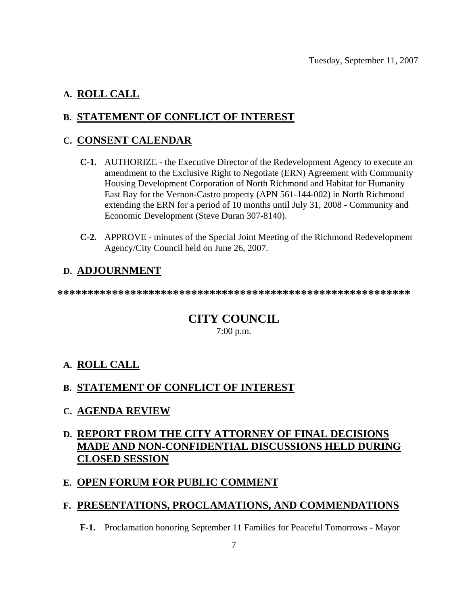## **A. ROLL CALL**

## **B. STATEMENT OF CONFLICT OF INTEREST**

## **C. CONSENT CALENDAR**

- **C-1.** AUTHORIZE the Executive Director of the Redevelopment Agency to execute an amendment to the Exclusive Right to Negotiate (ERN) Agreement with Community Housing Development Corporation of North Richmond and Habitat for Humanity East Bay for the Vernon-Castro property (APN 561-144-002) in North Richmond extending the ERN for a period of 10 months until July 31, 2008 - Community and Economic Development (Steve Duran 307-8140).
- **C-2.** APPROVE minutes of the Special Joint Meeting of the Richmond Redevelopment Agency/City Council held on June 26, 2007.

## **D. ADJOURNMENT**

**\*\*\*\*\*\*\*\*\*\*\*\*\*\*\*\*\*\*\*\*\*\*\*\*\*\*\*\*\*\*\*\*\*\*\*\*\*\*\*\*\*\*\*\*\*\*\*\*\*\*\*\*\*\*\*\*\*\*** 

## **CITY COUNCIL**  7:00 p.m.

## **A. ROLL CALL**

## **B. STATEMENT OF CONFLICT OF INTEREST**

## **C. AGENDA REVIEW**

## **D. REPORT FROM THE CITY ATTORNEY OF FINAL DECISIONS MADE AND NON-CONFIDENTIAL DISCUSSIONS HELD DURING CLOSED SESSION**

## **E. OPEN FORUM FOR PUBLIC COMMENT**

## **F. PRESENTATIONS, PROCLAMATIONS, AND COMMENDATIONS**

 **F-1.** Proclamation honoring September 11 Families for Peaceful Tomorrows - Mayor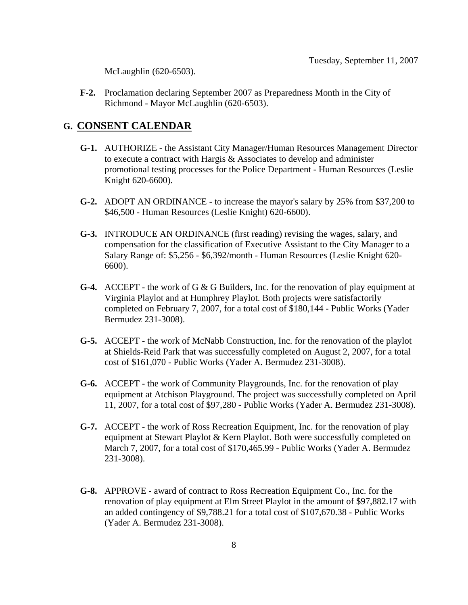McLaughlin (620-6503).

 **F-2.** Proclamation declaring September 2007 as Preparedness Month in the City of Richmond - Mayor McLaughlin (620-6503).

#### **G. CONSENT CALENDAR**

- **G-1.** AUTHORIZE the Assistant City Manager/Human Resources Management Director to execute a contract with Hargis & Associates to develop and administer promotional testing processes for the Police Department - Human Resources (Leslie Knight 620-6600).
- **G-2.** ADOPT AN ORDINANCE to increase the mayor's salary by 25% from \$37,200 to \$46,500 - Human Resources (Leslie Knight) 620-6600).
- **G-3.** INTRODUCE AN ORDINANCE (first reading) revising the wages, salary, and compensation for the classification of Executive Assistant to the City Manager to a Salary Range of: \$5,256 - \$6,392/month - Human Resources (Leslie Knight 620- 6600).
- **G-4.** ACCEPT the work of G & G Builders, Inc. for the renovation of play equipment at Virginia Playlot and at Humphrey Playlot. Both projects were satisfactorily completed on February 7, 2007, for a total cost of \$180,144 - Public Works (Yader Bermudez 231-3008).
- **G-5.** ACCEPT the work of McNabb Construction, Inc. for the renovation of the playlot at Shields-Reid Park that was successfully completed on August 2, 2007, for a total cost of \$161,070 - Public Works (Yader A. Bermudez 231-3008).
- **G-6.** ACCEPT the work of Community Playgrounds, Inc. for the renovation of play equipment at Atchison Playground. The project was successfully completed on April 11, 2007, for a total cost of \$97,280 - Public Works (Yader A. Bermudez 231-3008).
- **G-7.** ACCEPT the work of Ross Recreation Equipment, Inc. for the renovation of play equipment at Stewart Playlot & Kern Playlot. Both were successfully completed on March 7, 2007, for a total cost of \$170,465.99 - Public Works (Yader A. Bermudez 231-3008).
- **G-8.** APPROVE award of contract to Ross Recreation Equipment Co., Inc. for the renovation of play equipment at Elm Street Playlot in the amount of \$97,882.17 with an added contingency of \$9,788.21 for a total cost of \$107,670.38 - Public Works (Yader A. Bermudez 231-3008).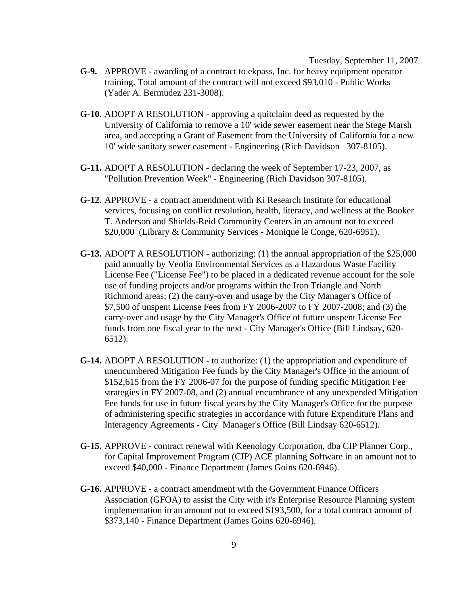Tuesday, September 11, 2007

- **G-9.** APPROVE awarding of a contract to ekpass, Inc. for heavy equipment operator training. Total amount of the contract will not exceed \$93,010 - Public Works (Yader A. Bermudez 231-3008).
- **G-10.** ADOPT A RESOLUTION approving a quitclaim deed as requested by the University of California to remove a 10' wide sewer easement near the Stege Marsh area, and accepting a Grant of Easement from the University of California for a new 10' wide sanitary sewer easement - Engineering (Rich Davidson 307-8105).
- **G-11.** ADOPT A RESOLUTION declaring the week of September 17-23, 2007, as "Pollution Prevention Week" - Engineering (Rich Davidson 307-8105).
- **G-12.** APPROVE a contract amendment with Ki Research Institute for educational services, focusing on conflict resolution, health, literacy, and wellness at the Booker T. Anderson and Shields-Reid Community Centers in an amount not to exceed \$20,000 (Library & Community Services - Monique le Conge, 620-6951).
- **G-13.** ADOPT A RESOLUTION authorizing: (1) the annual appropriation of the \$25,000 paid annually by Veolia Environmental Services as a Hazardous Waste Facility License Fee ("License Fee") to be placed in a dedicated revenue account for the sole use of funding projects and/or programs within the Iron Triangle and North Richmond areas; (2) the carry-over and usage by the City Manager's Office of \$7,500 of unspent License Fees from FY 2006-2007 to FY 2007-2008; and (3) the carry-over and usage by the City Manager's Office of future unspent License Fee funds from one fiscal year to the next - City Manager's Office (Bill Lindsay, 620- 6512).
- **G-14.** ADOPT A RESOLUTION to authorize: (1) the appropriation and expenditure of unencumbered Mitigation Fee funds by the City Manager's Office in the amount of \$152,615 from the FY 2006-07 for the purpose of funding specific Mitigation Fee strategies in FY 2007-08, and (2) annual encumbrance of any unexpended Mitigation Fee funds for use in future fiscal years by the City Manager's Office for the purpose of administering specific strategies in accordance with future Expenditure Plans and Interagency Agreements - City Manager's Office (Bill Lindsay 620-6512).
- **G-15.** APPROVE contract renewal with Keenology Corporation, dba CIP Planner Corp., for Capital Improvement Program (CIP) ACE planning Software in an amount not to exceed \$40,000 - Finance Department (James Goins 620-6946).
- **G-16.** APPROVE a contract amendment with the Government Finance Officers Association (GFOA) to assist the City with it's Enterprise Resource Planning system implementation in an amount not to exceed \$193,500, for a total contract amount of \$373,140 - Finance Department (James Goins 620-6946).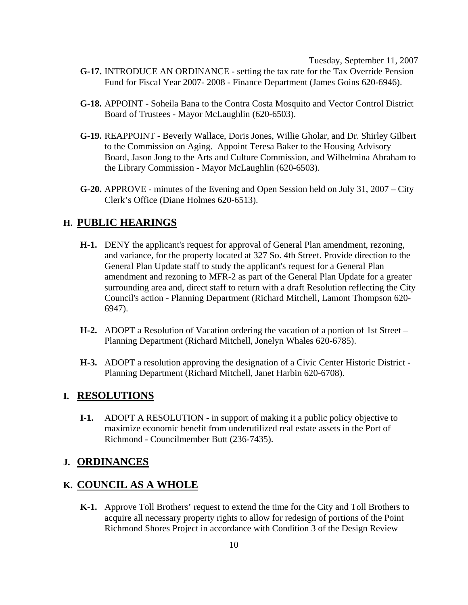Tuesday, September 11, 2007  **G-17.** INTRODUCE AN ORDINANCE - setting the tax rate for the Tax Override Pension Fund for Fiscal Year 2007- 2008 - Finance Department (James Goins 620-6946).

- **G-18.** APPOINT Soheila Bana to the Contra Costa Mosquito and Vector Control District Board of Trustees - Mayor McLaughlin (620-6503).
- **G-19.** REAPPOINT Beverly Wallace, Doris Jones, Willie Gholar, and Dr. Shirley Gilbert to the Commission on Aging. Appoint Teresa Baker to the Housing Advisory Board, Jason Jong to the Arts and Culture Commission, and Wilhelmina Abraham to the Library Commission - Mayor McLaughlin (620-6503).
- **G-20.** APPROVE minutes of the Evening and Open Session held on July 31, 2007 City Clerk's Office (Diane Holmes 620-6513).

#### **H. PUBLIC HEARINGS**

- **H-1.** DENY the applicant's request for approval of General Plan amendment, rezoning, and variance, for the property located at 327 So. 4th Street. Provide direction to the General Plan Update staff to study the applicant's request for a General Plan amendment and rezoning to MFR-2 as part of the General Plan Update for a greater surrounding area and, direct staff to return with a draft Resolution reflecting the City Council's action - Planning Department (Richard Mitchell, Lamont Thompson 620- 6947).
- **H-2.** ADOPT a Resolution of Vacation ordering the vacation of a portion of 1st Street Planning Department (Richard Mitchell, Jonelyn Whales 620-6785).
- **H-3.** ADOPT a resolution approving the designation of a Civic Center Historic District Planning Department (Richard Mitchell, Janet Harbin 620-6708).

#### **I. RESOLUTIONS**

**I-1.** ADOPT A RESOLUTION - in support of making it a public policy objective to maximize economic benefit from underutilized real estate assets in the Port of Richmond - Councilmember Butt (236-7435).

#### **J. ORDINANCES**

## **K. COUNCIL AS A WHOLE**

 **K-1.** Approve Toll Brothers' request to extend the time for the City and Toll Brothers to acquire all necessary property rights to allow for redesign of portions of the Point Richmond Shores Project in accordance with Condition 3 of the Design Review